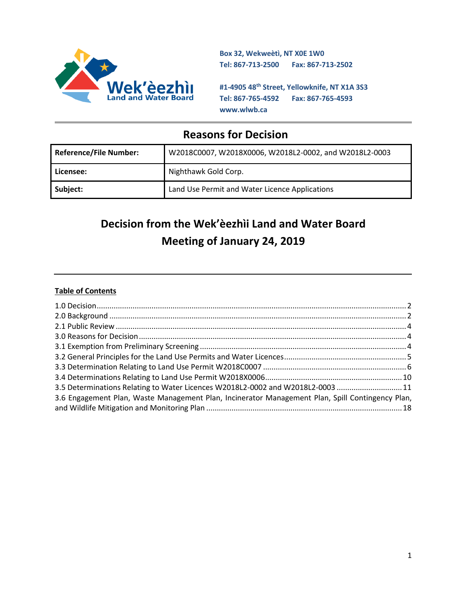

**Box 32, Wekweètì, NT X0E 1W0 Tel: 867-713-2500 Fax: 867-713-2502** 

**#1-4905 48th Street, Yellowknife, NT X1A 3S3 Tel: 867-765-4592 Fax: 867-765-4593 www.wlwb.ca**

## **Reasons for Decision**

| <b>Reference/File Number:</b> | W2018C0007, W2018X0006, W2018L2-0002, and W2018L2-0003 |  |
|-------------------------------|--------------------------------------------------------|--|
| Licensee:                     | Nighthawk Gold Corp.                                   |  |
| Subject:                      | Land Use Permit and Water Licence Applications         |  |

# **Decision from the Wek'èezhìi Land and Water Board Meeting of January 24, 2019**

## **Table of Contents**

| 3.5 Determinations Relating to Water Licences W2018L2-0002 and W2018L2-0003  11                  |  |
|--------------------------------------------------------------------------------------------------|--|
| 3.6 Engagement Plan, Waste Management Plan, Incinerator Management Plan, Spill Contingency Plan, |  |
|                                                                                                  |  |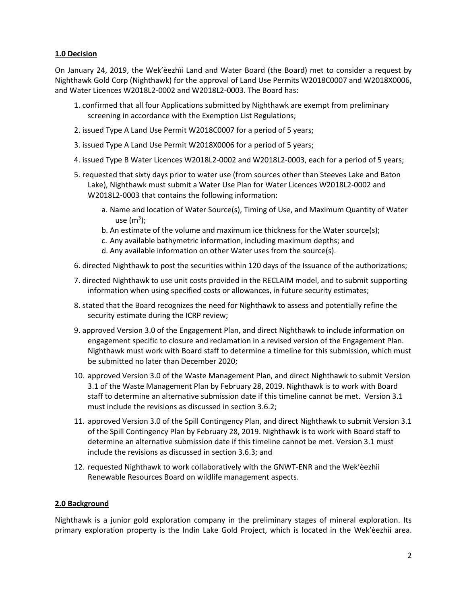## <span id="page-1-0"></span>**1.0 Decision**

On January 24, 2019, the Wek'èezhìi Land and Water Board (the Board) met to consider a request by Nighthawk Gold Corp (Nighthawk) for the approval of Land Use Permits W2018C0007 and W2018X0006, and Water Licences W2018L2-0002 and W2018L2-0003. The Board has:

- 1. confirmed that all four Applications submitted by Nighthawk are exempt from preliminary screening in accordance with the Exemption List Regulations;
- 2. issued Type A Land Use Permit W2018C0007 for a period of 5 years;
- 3. issued Type A Land Use Permit W2018X0006 for a period of 5 years;
- 4. issued Type B Water Licences W2018L2-0002 and W2018L2-0003, each for a period of 5 years;
- 5. requested that sixty days prior to water use (from sources other than Steeves Lake and Baton Lake), Nighthawk must submit a Water Use Plan for Water Licences W2018L2-0002 and W2018L2-0003 that contains the following information:
	- a. Name and location of Water Source(s), Timing of Use, and Maximum Quantity of Water use (m $3$ );
	- b. An estimate of the volume and maximum ice thickness for the Water source(s);
	- c. Any available bathymetric information, including maximum depths; and
	- d. Any available information on other Water uses from the source(s).
- 6. directed Nighthawk to post the securities within 120 days of the Issuance of the authorizations;
- 7. directed Nighthawk to use unit costs provided in the RECLAIM model, and to submit supporting information when using specified costs or allowances, in future security estimates;
- 8. stated that the Board recognizes the need for Nighthawk to assess and potentially refine the security estimate during the ICRP review;
- 9. approved Version 3.0 of the Engagement Plan, and direct Nighthawk to include information on engagement specific to closure and reclamation in a revised version of the Engagement Plan. Nighthawk must work with Board staff to determine a timeline for this submission, which must be submitted no later than December 2020;
- 10. approved Version 3.0 of the Waste Management Plan, and direct Nighthawk to submit Version 3.1 of the Waste Management Plan by February 28, 2019. Nighthawk is to work with Board staff to determine an alternative submission date if this timeline cannot be met. Version 3.1 must include the revisions as discussed in section 3.6.2;
- 11. approved Version 3.0 of the Spill Contingency Plan, and direct Nighthawk to submit Version 3.1 of the Spill Contingency Plan by February 28, 2019. Nighthawk is to work with Board staff to determine an alternative submission date if this timeline cannot be met. Version 3.1 must include the revisions as discussed in section 3.6.3; and
- 12. requested Nighthawk to work collaboratively with the GNWT-ENR and the Wek'èezhìi Renewable Resources Board on wildlife management aspects.

#### <span id="page-1-1"></span>**2.0 Background**

Nighthawk is a junior gold exploration company in the preliminary stages of mineral exploration. Its primary exploration property is the Indin Lake Gold Project, which is located in the Wek'èezhìi area.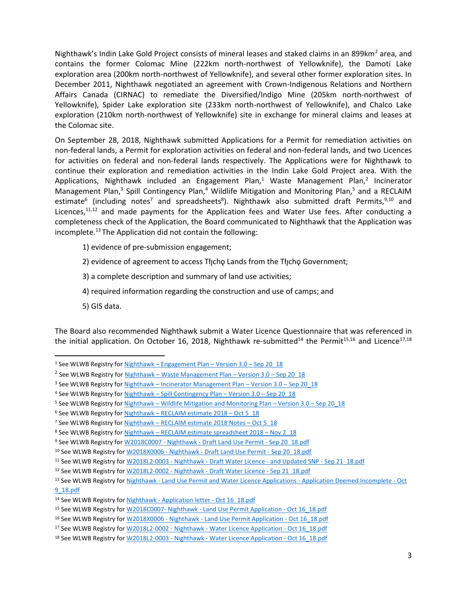Nighthawk's Indin Lake Gold Project consists of mineral leases and staked claims in an 899km<sup>2</sup> area, and contains the former Colomac Mine (222km north-northwest of Yellowknife), the Damoti Lake exploration area (200km north-northwest of Yellowknife), and several other former exploration sites. In December 2011, Nighthawk negotiated an agreement with Crown-Indigenous Relations and Northern Affairs Canada (CIRNAC) to remediate the Diversified/Indigo Mine (205km north-northwest of Yellowknife), Spider Lake exploration site (233km north-northwest of Yellowknife), and Chalco Lake exploration (210km north-northwest of Yellowknife) site in exchange for mineral claims and leases at the Colomac site.

On September 28, 2018, Nighthawk submitted Applications for a Permit for remediation activities on non-federal lands, a Permit for exploration activities on federal and non-federal lands, and two Licences for activities on federal and non-federal lands respectively. The Applications were for Nighthawk to continue their exploration and remediation activities in the Indin Lake Gold Project area. With the Applications, Nighthawk included an Engagement Plan,<sup>1</sup> Waste Management Plan,<sup>2</sup> Incinerator Management Plan,<sup>3</sup> Spill Contingency Plan,<sup>4</sup> Wildlife Mitigation and Monitoring Plan,<sup>5</sup> and a RECLAIM estimate<sup>6</sup> (including notes<sup>7</sup> and spreadsheets<sup>8</sup>). Nighthawk also submitted draft Permits,<sup>9,10</sup> and Licences, $11,12$  and made payments for the Application fees and Water Use fees. After conducting a completeness check of the Application, the Board communicated to Nighthawk that the Application was incomplete.<sup>13</sup> The Application did not contain the following:

- 1) evidence of pre-submission engagement;
- 2) evidence of agreement to access Tłįcho Lands from the Tłįcho Government;
- 3) a complete description and summary of land use activities;
- 4) required information regarding the construction and use of camps; and
- 5) GIS data.

 $\overline{a}$ 

The Board also recommended Nighthawk submit a Water Licence Questionnaire that was referenced in the initial application. On October 16, 2018, Nighthawk re-submitted<sup>14</sup> the Permit<sup>15,16</sup> and Licence<sup>17,18</sup>

<sup>1</sup> See WLWB Registry for Nighthawk – [Engagement Plan](http://registry.mvlwb.ca/Documents/W2018C0007/Nighthawk%20-%20Engagement%20Plan%20-%20Version%203.0%20-%20Oct%2016_18.pdf) – Version 3.0 – Sep 20\_18

<sup>&</sup>lt;sup>2</sup> See WLWB Registry for <u>Nighthawk – [Waste Management Plan](http://registry.mvlwb.ca/Documents/W2018C0007/Nighthawk%20-%20Waste%20Management%20Plan%20-%20Version%203.0%20-%20Sep%2020_18.pdf) – Version 3.0 – Sep 20\_18</u>

<sup>&</sup>lt;sup>3</sup> See WLWB Registry for Nighthawk – [Incinerator Management Plan](http://registry.mvlwb.ca/Documents/W2018C0007/Nighthawk%20-%20Incinerator%20Managment%20Plan%20-%20Version%203.0%20-%20Sep%2020_18.pdf) – Version 3.0 – Sep 20\_18

<sup>4</sup> See WLWB Registry for Nighthawk – [Spill Contingency Plan](http://registry.mvlwb.ca/Documents/W2018C0007/Nighthawk%20-%20Spill%20Contingency%20Plan%20-%20Version%203.0%20-%20Sep%2020_18.pdf) – Version 3.0 – Sep 20\_18

<sup>5</sup> See WLWB Registry for Nighthawk – [Wildlife Mitigation and Monitoring Plan](http://registry.mvlwb.ca/Documents/W2018C0007/Nighthawk%20-%20Wildlife%20Mitigation%20and%20Monitoring%20Plan%20-%20Version%203.0%20-%20Sep%2020_18.pdf) – Version 3.0 – Sep 20\_18

<sup>6</sup> See WLWB Registry for Nighthawk - [RECLAIM estimate 2018](http://registry.mvlwb.ca/Documents/W2018C0007/Nighthawk%20-%20RECLAIM%20estimate%202018%20%20-%20Oct%2005_18.pdf) - Oct 5\_18

<sup>&</sup>lt;sup>7</sup> See WLWB Registry for **Nighthawk** – [RECLAIM estimate 2018 Notes](http://registry.mvlwb.ca/Documents/W2018C0007/Nighthawk%20-%20RECLAIM%20estimate%202018%20Notes-%20Oct%2005_18.pdf) – Oct 5\_18

<sup>8</sup> See WLWB Registry for Nighthawk – [RECLAIM estimate spreadsheet 2018](http://registry.mvlwb.ca/Documents/W2018C0007/Nighthawk%20-%20RECLAIM%20estimate%20spreadsheet%202018%20-%20Nov%202_18.xlsm) – Nov 2\_18

<sup>9</sup> See WLWB Registry for W2018C0007 - Nighthawk - [Draft Land Use Permit -](http://registry.mvlwb.ca/Documents/W2018C0007/W2018C0007%20-%20Nighthawk%20-%20Draft%20Land%20Use%20Permit%20-%20Sep%2020_18.pdf) Sep 20\_18.pdf

<sup>&</sup>lt;sup>10</sup> See WLWB Registry for W2018X0006 - Nighthawk - [Draft Land Use Permit -](http://registry.mvlwb.ca/Documents/W2018X0006/W2018X0006%20-%20Nighthawk%20-%20Draft%20Land%20Use%20Permit%20-%20Sep%2020_18.pdf) Sep 20 18.pdf

<sup>&</sup>lt;sup>11</sup> See WLWB Registry for W2018L2-0003 - Nighthawk - [Draft Water Licence -](http://registry.mvlwb.ca/Documents/W2018L2-0003/W2018L2-0003%20-%20Nighthawk%20-%20Draft%20Water%20Licence%20-%20and%20Updated%20SNP%20-%20Sep%2021_18.pdf) and Updated SNP - Sep 21\_18.pdf

<sup>&</sup>lt;sup>12</sup> See WLWB Registry for W2018L2-0002 - Nighthawk - [Draft Water Licence -](http://registry.mvlwb.ca/Documents/W2018L2-0002/W2018L2-0002%20-%20Nighthawk%20-%20Draft%20Water%20Licence%20-%20Sep%2021_18.pdf) Sep 21\_18.pdf

<sup>13</sup> See WLWB Registry for Nighthawk - [Land Use Permit and Water Licence Applications -](http://registry.mvlwb.ca/Documents/W2018C0007/Nighthawk%20-%20Land%20Use%20Permit%20and%20Water%20Licence%20Applications%20-%20Application%20Deemed%20Incomplete%20-%20Oct%209_18.pdf) Application Deemed Incomplete - Oct [9\\_18.pdf](http://registry.mvlwb.ca/Documents/W2018C0007/Nighthawk%20-%20Land%20Use%20Permit%20and%20Water%20Licence%20Applications%20-%20Application%20Deemed%20Incomplete%20-%20Oct%209_18.pdf)

<sup>14</sup> See WLWB Registry for Nighthawk - [Application letter -](http://registry.mvlwb.ca/Documents/W2018C0007/Nighthawk%20-%20Application%20letter%20-%20Oct%2016_18.pdf) Oct 16\_18.pdf

<sup>15</sup> See WLWB Registry for W2018C0007- Nighthawk - [Land Use Permit Application -](http://registry.mvlwb.ca/Documents/W2018C0007/W2018C0007-%20Nighthawk%20-%20Land%20Use%20Permit%20Application%20-%20Oct%2016_18.pdf) Oct 16\_18.pdf

<sup>&</sup>lt;sup>16</sup> See WLWB Registry for W2018X0006 - Nighthawk - [Land Use Permit Application -](http://registry.mvlwb.ca/Documents/W2018X0006/W2018X0006%20-%20Nighthawk%20-%20Land%20Use%20Permit%20Application%20-%20Oct%2016_18.pdf) Oct 16 18.pdf

<sup>&</sup>lt;sup>17</sup> See WLWB Registry for W2018L2-0002 - Nighthawk - [Water Licence Application -](http://registry.mvlwb.ca/Documents/W2018L2-0002/W2018L2-0002%20-%20Nighthawk%20-%20Water%20Licence%20Application%20-%20Oct%2016_18.pdf) Oct 16 18.pdf

<sup>&</sup>lt;sup>18</sup> See WLWB Registry for W2018L2-0003 - Nighthawk - [Water Licence Application -](http://registry.mvlwb.ca/Documents/W2018L2-0003/W2018L2-0003%20-%20Nighthawk%20-%20Water%20Licence%20Application%20-%20Oct%2016_18.pdf) Oct 16 18.pdf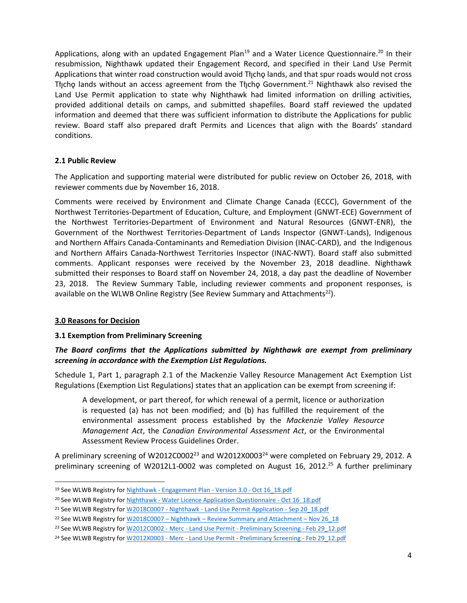Applications, along with an updated Engagement Plan<sup>19</sup> and a Water Licence Questionnaire.<sup>20</sup> In their resubmission, Nighthawk updated their Engagement Record, and specified in their Land Use Permit Applications that winter road construction would avoid The plands, and that spur roads would not cross Tłįchę lands without an access agreement from the Tłįchę Government.<sup>21</sup> Nighthawk also revised the Land Use Permit application to state why Nighthawk had limited information on drilling activities, provided additional details on camps, and submitted shapefiles. Board staff reviewed the updated information and deemed that there was sufficient information to distribute the Applications for public review. Board staff also prepared draft Permits and Licences that align with the Boards' standard conditions.

#### <span id="page-3-0"></span>**2.1 Public Review**

The Application and supporting material were distributed for public review on October 26, 2018, with reviewer comments due by November 16, 2018.

Comments were received by Environment and Climate Change Canada (ECCC), Government of the Northwest Territories-Department of Education, Culture, and Employment (GNWT-ECE) Government of the Northwest Territories-Department of Environment and Natural Resources (GNWT-ENR), the Government of the Northwest Territories-Department of Lands Inspector (GNWT-Lands), Indigenous and Northern Affairs Canada-Contaminants and Remediation Division (INAC-CARD), and the Indigenous and Northern Affairs Canada-Northwest Territories Inspector (INAC-NWT). Board staff also submitted comments. Applicant responses were received by the November 23, 2018 deadline. Nighthawk submitted their responses to Board staff on November 24, 2018, a day past the deadline of November 23, 2018. The Review Summary Table, including reviewer comments and proponent responses, is available on the WLWB Online Registry (See Review Summary and Attachments<sup>22</sup>).

## <span id="page-3-1"></span>**3.0 Reasons for Decision**

 $\overline{a}$ 

## <span id="page-3-2"></span>**3.1 Exemption from Preliminary Screening**

## *The Board confirms that the Applications submitted by Nighthawk are exempt from preliminary screening in accordance with the Exemption List Regulations.*

Schedule 1, Part 1, paragraph 2.1 of the Mackenzie Valley Resource Management Act Exemption List Regulations (Exemption List Regulations) states that an application can be exempt from screening if:

A development, or part thereof, for which renewal of a permit, licence or authorization is requested (a) has not been modified; and (b) has fulfilled the requirement of the environmental assessment process established by the *Mackenzie Valley Resource Management Act*, the *Canadian Environmental Assessment Act*, or the Environmental Assessment Review Process Guidelines Order.

A preliminary screening of W2012C0002<sup>23</sup> and W2012X0003<sup>24</sup> were completed on February 29, 2012. A preliminary screening of W2012L1-0002 was completed on August 16, 2012.<sup>25</sup> A further preliminary

<sup>&</sup>lt;sup>19</sup> See WLWB Registry for Nighthawk - [Engagement Plan -](http://registry.mvlwb.ca/Documents/W2018C0007/Nighthawk%20-%20Engagement%20Plan%20-%20Version%203.0%20-%20Oct%2016_18.pdf) Version 3.0 - Oct 16 18.pdf

<sup>&</sup>lt;sup>20</sup> See WLWB Registry for Nighthawk - [Water Licence Application Questionnaire -](http://registry.mvlwb.ca/Documents/W2018L2-0003/Nighthawk%20-%20Water%20Licence%20Application%20Questionnaire%20-%20Oct%2016_18.pdf) Oct 16 18.pdf

<sup>&</sup>lt;sup>21</sup> See WLWB Registry for W2018C0007 - Nighthawk - Land Use [Permit Application -](http://registry.mvlwb.ca/Documents/W2018C0007/W2018C0007%20-%20Nighthawk%20-%20Land%20Use%20Permit%20Application%20-%20Sep%2020_18.pdf) Sep 20\_18.pdf

<sup>&</sup>lt;sup>22</sup> See WLWB Registry for W2018C0007 - Nighthawk - [Review Summary and Attachment](http://registry.mvlwb.ca/Documents/W2018C0007/W2018C0007%20-%20Nighthawk%20-%20Review%20Summary%20and%20Attachment%20-%20Nov%2026_18.pdf) - Nov 26 18

<sup>&</sup>lt;sup>23</sup> See WLWB Registry for W2012C0002 - Merc - Land Use Permit - [Preliminary Screening -](http://registry.mvlwb.ca/Documents/W2012C0002/W2012C0002%20-%20Merc%20-%20Land%20Use%20Permit%20-%20Preliminary%20Screening%20-%20Feb%2029_12.pdf) Feb 29 12.pdf

<sup>&</sup>lt;sup>24</sup> See WLWB Registry for W2012X0003 - Merc - Land Use Permit - [Preliminary Screening -](http://registry.mvlwb.ca/Documents/W2012X0003/W2012X0003%20-%20Merc%20-%20Land%20Use%20Permit%20-%20Preliminary%20Screening%20-%20Feb%2029_12.pdf) Feb 29 12.pdf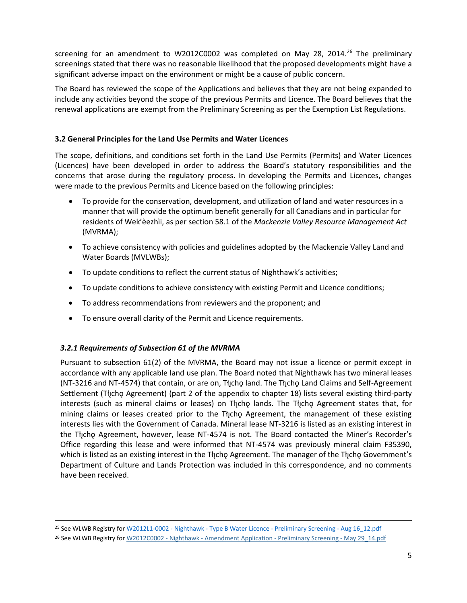screening for an amendment to W2012C0002 was completed on May 28, 2014.<sup>26</sup> The preliminary screenings stated that there was no reasonable likelihood that the proposed developments might have a significant adverse impact on the environment or might be a cause of public concern.

The Board has reviewed the scope of the Applications and believes that they are not being expanded to include any activities beyond the scope of the previous Permits and Licence. The Board believes that the renewal applications are exempt from the Preliminary Screening as per the Exemption List Regulations.

## <span id="page-4-0"></span>**3.2 General Principles for the Land Use Permits and Water Licences**

The scope, definitions, and conditions set forth in the Land Use Permits (Permits) and Water Licences (Licences) have been developed in order to address the Board's statutory responsibilities and the concerns that arose during the regulatory process. In developing the Permits and Licences, changes were made to the previous Permits and Licence based on the following principles:

- To provide for the conservation, development, and utilization of land and water resources in a manner that will provide the optimum benefit generally for all Canadians and in particular for residents of Wek'èezhìi, as per section 58.1 of the *Mackenzie Valley Resource Management Act*  (MVRMA);
- To achieve consistency with policies and guidelines adopted by the Mackenzie Valley Land and Water Boards (MVLWBs);
- To update conditions to reflect the current status of Nighthawk's activities;
- To update conditions to achieve consistency with existing Permit and Licence conditions;
- To address recommendations from reviewers and the proponent; and
- To ensure overall clarity of the Permit and Licence requirements.

## *3.2.1 Requirements of Subsection 61 of the MVRMA*

 $\overline{a}$ 

Pursuant to subsection 61(2) of the MVRMA, the Board may not issue a licence or permit except in accordance with any applicable land use plan. The Board noted that Nighthawk has two mineral leases (NT-3216 and NT-4574) that contain, or are on, Tłycho land. The Tłycho Land Claims and Self-Agreement Settlement (Tłı̨chǫ Agreement) (part 2 of the appendix to chapter 18) lists several existing third-party interests (such as mineral claims or leases) on Tłycho lands. The Tłycho Agreement states that, for mining claims or leases created prior to the Tłįcho Agreement, the management of these existing interests lies with the Government of Canada. Mineral lease NT-3216 is listed as an existing interest in the Tłycho Agreement, however, lease NT-4574 is not. The Board contacted the Miner's Recorder's Office regarding this lease and were informed that NT-4574 was previously mineral claim F35390, which is listed as an existing interest in the Tłycho Agreement. The manager of the Tłycho Government's Department of Culture and Lands Protection was included in this correspondence, and no comments have been received.

<sup>&</sup>lt;sup>25</sup> See WLWB Registry for W2012L1-0002 - Nighthawk - Type B Water Licence - [Preliminary Screening -](http://registry.mvlwb.ca/Documents/W2012L1-0002/W2012L1-0002%20-%20Nighthawk%20-%20Type%20B%20Water%20Licence%20-%20Preliminary%20Screening%20-%20Aug%2016_12.pdf) Aug 16\_12.pdf

<sup>&</sup>lt;sup>26</sup> See WLWB Registry for W2012C0002 - Nighthawk - [Amendment Application -](http://registry.mvlwb.ca/Documents/W2012C0002/W2012C0002%20-%20Nighthawk%20-%20Amendment%20Application%20-%20Preliminary%20Screening%20-%20May%2029_14.pdf) Preliminary Screening - May 29\_14.pdf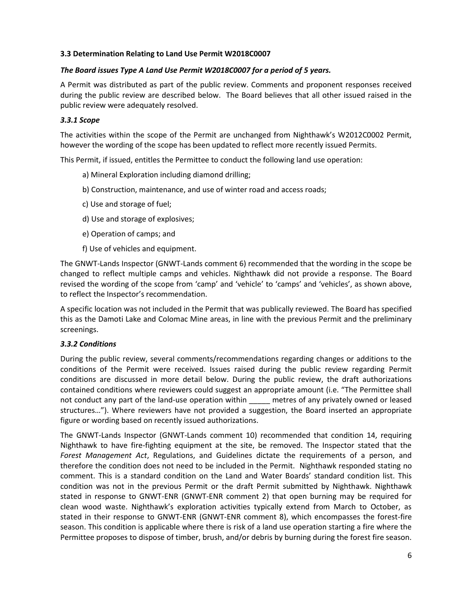## <span id="page-5-0"></span>**3.3 Determination Relating to Land Use Permit W2018C0007**

## *The Board issues Type A Land Use Permit W2018C0007 for a period of 5 years.*

A Permit was distributed as part of the public review. Comments and proponent responses received during the public review are described below. The Board believes that all other issued raised in the public review were adequately resolved.

## *3.3.1 Scope*

The activities within the scope of the Permit are unchanged from Nighthawk's W2012C0002 Permit, however the wording of the scope has been updated to reflect more recently issued Permits.

This Permit, if issued, entitles the Permittee to conduct the following land use operation:

- a) Mineral Exploration including diamond drilling;
- b) Construction, maintenance, and use of winter road and access roads;
- c) Use and storage of fuel;
- d) Use and storage of explosives;
- e) Operation of camps; and
- f) Use of vehicles and equipment.

The GNWT-Lands Inspector (GNWT-Lands comment 6) recommended that the wording in the scope be changed to reflect multiple camps and vehicles. Nighthawk did not provide a response. The Board revised the wording of the scope from 'camp' and 'vehicle' to 'camps' and 'vehicles', as shown above, to reflect the Inspector's recommendation.

A specific location was not included in the Permit that was publically reviewed. The Board has specified this as the Damoti Lake and Colomac Mine areas, in line with the previous Permit and the preliminary screenings.

#### *3.3.2 Conditions*

During the public review, several comments/recommendations regarding changes or additions to the conditions of the Permit were received. Issues raised during the public review regarding Permit conditions are discussed in more detail below. During the public review, the draft authorizations contained conditions where reviewers could suggest an appropriate amount (i.e. "The Permittee shall not conduct any part of the land-use operation within **noticly metres of any privately owned or leased** structures…"). Where reviewers have not provided a suggestion, the Board inserted an appropriate figure or wording based on recently issued authorizations.

The GNWT-Lands Inspector (GNWT-Lands comment 10) recommended that condition 14, requiring Nighthawk to have fire-fighting equipment at the site, be removed. The Inspector stated that the *Forest Management Act*, Regulations, and Guidelines dictate the requirements of a person, and therefore the condition does not need to be included in the Permit. Nighthawk responded stating no comment. This is a standard condition on the Land and Water Boards' standard condition list. This condition was not in the previous Permit or the draft Permit submitted by Nighthawk. Nighthawk stated in response to GNWT-ENR (GNWT-ENR comment 2) that open burning may be required for clean wood waste. Nighthawk's exploration activities typically extend from March to October, as stated in their response to GNWT-ENR (GNWT-ENR comment 8), which encompasses the forest-fire season. This condition is applicable where there is risk of a land use operation starting a fire where the Permittee proposes to dispose of timber, brush, and/or debris by burning during the forest fire season.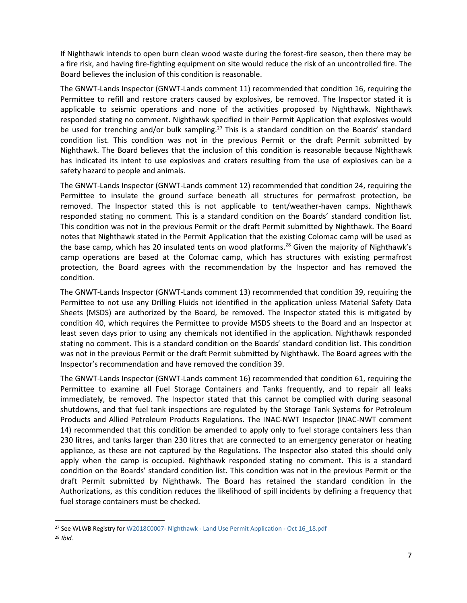If Nighthawk intends to open burn clean wood waste during the forest-fire season, then there may be a fire risk, and having fire-fighting equipment on site would reduce the risk of an uncontrolled fire. The Board believes the inclusion of this condition is reasonable.

The GNWT-Lands Inspector (GNWT-Lands comment 11) recommended that condition 16, requiring the Permittee to refill and restore craters caused by explosives, be removed. The Inspector stated it is applicable to seismic operations and none of the activities proposed by Nighthawk. Nighthawk responded stating no comment. Nighthawk specified in their Permit Application that explosives would be used for trenching and/or bulk sampling.<sup>27</sup> This is a standard condition on the Boards' standard condition list. This condition was not in the previous Permit or the draft Permit submitted by Nighthawk. The Board believes that the inclusion of this condition is reasonable because Nighthawk has indicated its intent to use explosives and craters resulting from the use of explosives can be a safety hazard to people and animals.

The GNWT-Lands Inspector (GNWT-Lands comment 12) recommended that condition 24, requiring the Permittee to insulate the ground surface beneath all structures for permafrost protection, be removed. The Inspector stated this is not applicable to tent/weather-haven camps. Nighthawk responded stating no comment. This is a standard condition on the Boards' standard condition list. This condition was not in the previous Permit or the draft Permit submitted by Nighthawk. The Board notes that Nighthawk stated in the Permit Application that the existing Colomac camp will be used as the base camp, which has 20 insulated tents on wood platforms.<sup>28</sup> Given the majority of Nighthawk's camp operations are based at the Colomac camp, which has structures with existing permafrost protection, the Board agrees with the recommendation by the Inspector and has removed the condition.

The GNWT-Lands Inspector (GNWT-Lands comment 13) recommended that condition 39, requiring the Permittee to not use any Drilling Fluids not identified in the application unless Material Safety Data Sheets (MSDS) are authorized by the Board, be removed. The Inspector stated this is mitigated by condition 40, which requires the Permittee to provide MSDS sheets to the Board and an Inspector at least seven days prior to using any chemicals not identified in the application. Nighthawk responded stating no comment. This is a standard condition on the Boards' standard condition list. This condition was not in the previous Permit or the draft Permit submitted by Nighthawk. The Board agrees with the Inspector's recommendation and have removed the condition 39.

The GNWT-Lands Inspector (GNWT-Lands comment 16) recommended that condition 61, requiring the Permittee to examine all Fuel Storage Containers and Tanks frequently, and to repair all leaks immediately, be removed. The Inspector stated that this cannot be complied with during seasonal shutdowns, and that fuel tank inspections are regulated by the Storage Tank Systems for Petroleum Products and Allied Petroleum Products Regulations. The INAC-NWT Inspector (INAC-NWT comment 14) recommended that this condition be amended to apply only to fuel storage containers less than 230 litres, and tanks larger than 230 litres that are connected to an emergency generator or heating appliance, as these are not captured by the Regulations. The Inspector also stated this should only apply when the camp is occupied. Nighthawk responded stating no comment. This is a standard condition on the Boards' standard condition list. This condition was not in the previous Permit or the draft Permit submitted by Nighthawk. The Board has retained the standard condition in the Authorizations, as this condition reduces the likelihood of spill incidents by defining a frequency that fuel storage containers must be checked.

 $\overline{a}$ 

<sup>&</sup>lt;sup>27</sup> See WLWB Registry for W2018C0007- Nighthawk - [Land Use Permit Application -](http://registry.mvlwb.ca/Documents/W2018C0007/W2018C0007-%20Nighthawk%20-%20Land%20Use%20Permit%20Application%20-%20Oct%2016_18.pdf) Oct 16 18.pdf <sup>28</sup> *Ibid.*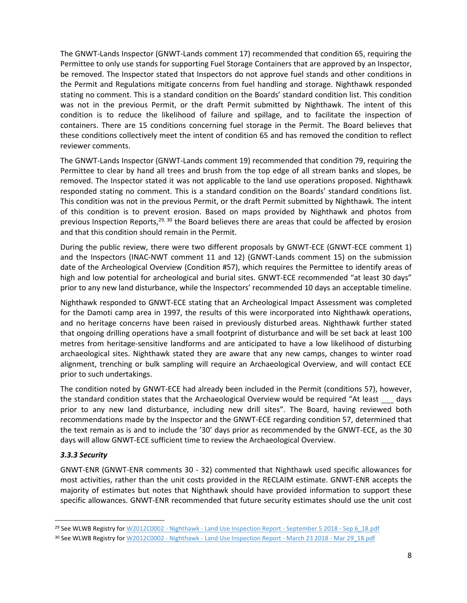The GNWT-Lands Inspector (GNWT-Lands comment 17) recommended that condition 65, requiring the Permittee to only use stands for supporting Fuel Storage Containers that are approved by an Inspector, be removed. The Inspector stated that Inspectors do not approve fuel stands and other conditions in the Permit and Regulations mitigate concerns from fuel handling and storage. Nighthawk responded stating no comment. This is a standard condition on the Boards' standard condition list. This condition was not in the previous Permit, or the draft Permit submitted by Nighthawk. The intent of this condition is to reduce the likelihood of failure and spillage, and to facilitate the inspection of containers. There are 15 conditions concerning fuel storage in the Permit. The Board believes that these conditions collectively meet the intent of condition 65 and has removed the condition to reflect reviewer comments.

The GNWT-Lands Inspector (GNWT-Lands comment 19) recommended that condition 79, requiring the Permittee to clear by hand all trees and brush from the top edge of all stream banks and slopes, be removed. The Inspector stated it was not applicable to the land use operations proposed. Nighthawk responded stating no comment. This is a standard condition on the Boards' standard conditions list. This condition was not in the previous Permit, or the draft Permit submitted by Nighthawk. The intent of this condition is to prevent erosion. Based on maps provided by Nighthawk and photos from previous Inspection Reports,  $29, 30$  the Board believes there are areas that could be affected by erosion and that this condition should remain in the Permit.

During the public review, there were two different proposals by GNWT-ECE (GNWT-ECE comment 1) and the Inspectors (INAC-NWT comment 11 and 12) (GNWT-Lands comment 15) on the submission date of the Archeological Overview (Condition #57), which requires the Permittee to identify areas of high and low potential for archeological and burial sites. GNWT-ECE recommended "at least 30 days" prior to any new land disturbance, while the Inspectors' recommended 10 days an acceptable timeline.

Nighthawk responded to GNWT-ECE stating that an Archeological Impact Assessment was completed for the Damoti camp area in 1997, the results of this were incorporated into Nighthawk operations, and no heritage concerns have been raised in previously disturbed areas. Nighthawk further stated that ongoing drilling operations have a small footprint of disturbance and will be set back at least 100 metres from heritage-sensitive landforms and are anticipated to have a low likelihood of disturbing archaeological sites. Nighthawk stated they are aware that any new camps, changes to winter road alignment, trenching or bulk sampling will require an Archaeological Overview, and will contact ECE prior to such undertakings.

The condition noted by GNWT-ECE had already been included in the Permit (conditions 57), however, the standard condition states that the Archaeological Overview would be required "At least days prior to any new land disturbance, including new drill sites". The Board, having reviewed both recommendations made by the Inspector and the GNWT-ECE regarding condition 57, determined that the text remain as is and to include the '30' days prior as recommended by the GNWT-ECE, as the 30 days will allow GNWT-ECE sufficient time to review the Archaeological Overview.

#### *3.3.3 Security*

 $\overline{a}$ 

GNWT-ENR (GNWT-ENR comments 30 - 32) commented that Nighthawk used specific allowances for most activities, rather than the unit costs provided in the RECLAIM estimate. GNWT-ENR accepts the majority of estimates but notes that Nighthawk should have provided information to support these specific allowances. GNWT-ENR recommended that future security estimates should use the unit cost

<sup>&</sup>lt;sup>29</sup> See WLWB Registry for W2012C0002 - Nighthawk - [Land Use Inspection Report -](http://registry.mvlwb.ca/Documents/W2012C0002/W2012C0002%20-%20Nighthawk%20-%20Land%20Use%20Inspection%20Report%20-%20September%205%202018%20-%20Sep%206_18.pdf) September 5 2018 - Sep 6\_18.pdf

<sup>30</sup> See WLWB Registry for W2012C0002 - Nighthawk - [Land Use Inspection Report -](http://registry.mvlwb.ca/Documents/W2012C0002/W2012C0002%20-%20Nighthawk%20-%20Land%20Use%20Inspection%20Report%20-%20March%2023%202018%20-%20Mar%2029_18.pdf) March 23 2018 - Mar 29 18.pdf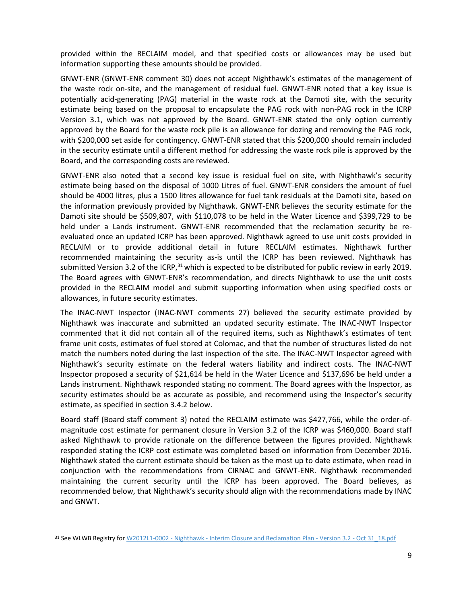provided within the RECLAIM model, and that specified costs or allowances may be used but information supporting these amounts should be provided.

GNWT-ENR (GNWT-ENR comment 30) does not accept Nighthawk's estimates of the management of the waste rock on-site, and the management of residual fuel. GNWT-ENR noted that a key issue is potentially acid-generating (PAG) material in the waste rock at the Damoti site, with the security estimate being based on the proposal to encapsulate the PAG rock with non-PAG rock in the ICRP Version 3.1, which was not approved by the Board. GNWT-ENR stated the only option currently approved by the Board for the waste rock pile is an allowance for dozing and removing the PAG rock, with \$200,000 set aside for contingency. GNWT-ENR stated that this \$200,000 should remain included in the security estimate until a different method for addressing the waste rock pile is approved by the Board, and the corresponding costs are reviewed.

GNWT-ENR also noted that a second key issue is residual fuel on site, with Nighthawk's security estimate being based on the disposal of 1000 Litres of fuel. GNWT-ENR considers the amount of fuel should be 4000 litres, plus a 1500 litres allowance for fuel tank residuals at the Damoti site, based on the information previously provided by Nighthawk. GNWT-ENR believes the security estimate for the Damoti site should be \$509,807, with \$110,078 to be held in the Water Licence and \$399,729 to be held under a Lands instrument. GNWT-ENR recommended that the reclamation security be reevaluated once an updated ICRP has been approved. Nighthawk agreed to use unit costs provided in RECLAIM or to provide additional detail in future RECLAIM estimates. Nighthawk further recommended maintaining the security as-is until the ICRP has been reviewed. Nighthawk has submitted Version 3.2 of the ICRP, $31$  which is expected to be distributed for public review in early 2019. The Board agrees with GNWT-ENR's recommendation, and directs Nighthawk to use the unit costs provided in the RECLAIM model and submit supporting information when using specified costs or allowances, in future security estimates.

The INAC-NWT Inspector (INAC-NWT comments 27) believed the security estimate provided by Nighthawk was inaccurate and submitted an updated security estimate. The INAC-NWT Inspector commented that it did not contain all of the required items, such as Nighthawk's estimates of tent frame unit costs, estimates of fuel stored at Colomac, and that the number of structures listed do not match the numbers noted during the last inspection of the site. The INAC-NWT Inspector agreed with Nighthawk's security estimate on the federal waters liability and indirect costs. The INAC-NWT Inspector proposed a security of \$21,614 be held in the Water Licence and \$137,696 be held under a Lands instrument. Nighthawk responded stating no comment. The Board agrees with the Inspector, as security estimates should be as accurate as possible, and recommend using the Inspector's security estimate, as specified in section 3.4.2 below.

Board staff (Board staff comment 3) noted the RECLAIM estimate was \$427,766, while the order-ofmagnitude cost estimate for permanent closure in Version 3.2 of the ICRP was \$460,000. Board staff asked Nighthawk to provide rationale on the difference between the figures provided. Nighthawk responded stating the ICRP cost estimate was completed based on information from December 2016. Nighthawk stated the current estimate should be taken as the most up to date estimate, when read in conjunction with the recommendations from CIRNAC and GNWT-ENR. Nighthawk recommended maintaining the current security until the ICRP has been approved. The Board believes, as recommended below, that Nighthawk's security should align with the recommendations made by INAC and GNWT.

 $\overline{\phantom{a}}$ 

<sup>&</sup>lt;sup>31</sup> See WLWB Registry for W2012L1-0002 - Nighthawk - [Interim Closure and Reclamation Plan -](http://registry.mvlwb.ca/Documents/W2012L1-0002/W2012L1-0002%20-%20Nighthawk%20-%20Interim%20Closure%20and%20Reclamation%20Plan%20-%20Version%203.2%20-%20Oct%2031_18.pdf) Version 3.2 - Oct 31\_18.pdf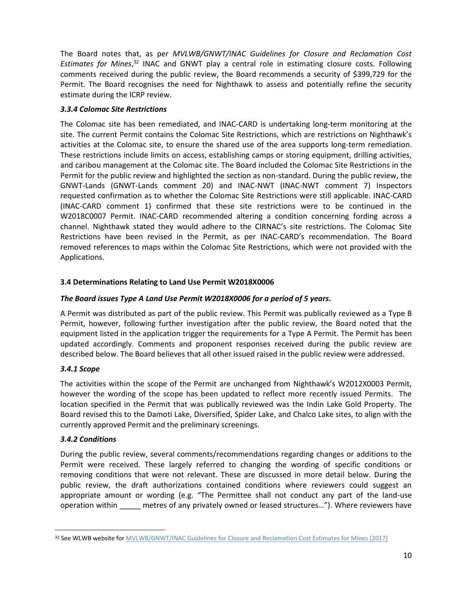The Board notes that, as per *MVLWB/GNWT/INAC Guidelines for Closure and Reclamation Cost Estimates for Mines*, <sup>32</sup> INAC and GNWT play a central role in estimating closure costs. Following comments received during the public review, the Board recommends a security of \$399,729 for the Permit. The Board recognises the need for Nighthawk to assess and potentially refine the security estimate during the ICRP review.

## *3.3.4 Colomac Site Restrictions*

The Colomac site has been remediated, and INAC-CARD is undertaking long-term monitoring at the site. The current Permit contains the Colomac Site Restrictions, which are restrictions on Nighthawk's activities at the Colomac site, to ensure the shared use of the area supports long-term remediation. These restrictions include limits on access, establishing camps or storing equipment, drilling activities, and caribou management at the Colomac site. The Board included the Colomac Site Restrictions in the Permit for the public review and highlighted the section as non-standard. During the public review, the GNWT-Lands (GNWT-Lands comment 20) and INAC-NWT (INAC-NWT comment 7) Inspectors requested confirmation as to whether the Colomac Site Restrictions were still applicable. INAC-CARD (INAC-CARD comment 1) confirmed that these site restrictions were to be continued in the W2018C0007 Permit. INAC-CARD recommended altering a condition concerning fording across a channel. Nighthawk stated they would adhere to the CIRNAC's site restrictions. The Colomac Site Restrictions have been revised in the Permit, as per INAC-CARD's recommendation. The Board removed references to maps within the Colomac Site Restrictions, which were not provided with the Applications.

## <span id="page-9-0"></span>**3.4 Determinations Relating to Land Use Permit W2018X0006**

## *The Board issues Type A Land Use Permit W2018X0006 for a period of 5 years.*

A Permit was distributed as part of the public review. This Permit was publically reviewed as a Type B Permit, however, following further investigation after the public review, the Board noted that the equipment listed in the application trigger the requirements for a Type A Permit. The Permit has been updated accordingly. Comments and proponent responses received during the public review are described below. The Board believes that all other issued raised in the public review were addressed.

## *3.4.1 Scope*

The activities within the scope of the Permit are unchanged from Nighthawk's W2012X0003 Permit, however the wording of the scope has been updated to reflect more recently issued Permits. The location specified in the Permit that was publically reviewed was the Indin Lake Gold Property. The Board revised this to the Damoti Lake, Diversified, Spider Lake, and Chalco Lake sites, to align with the currently approved Permit and the preliminary screenings.

#### *3.4.2 Conditions*

 $\overline{\phantom{a}}$ 

During the public review, several comments/recommendations regarding changes or additions to the Permit were received. These largely referred to changing the wording of specific conditions or removing conditions that were not relevant. These are discussed in more detail below. During the public review, the draft authorizations contained conditions where reviewers could suggest an appropriate amount or wording (e.g. "The Permittee shall not conduct any part of the land-use operation within \_\_\_\_\_ metres of any privately owned or leased structures…"). Where reviewers have

<sup>32</sup> See WLWB website for MVLWB/GNWT/INAC [Guidelines for Closure and Reclamation Cost Estimates for Mines](https://wlwb.ca/sites/default/files/images/Closure%20Cost%20Estimating%20Guidelines_FINAL_Nov%2024%202017.pdf) (2017)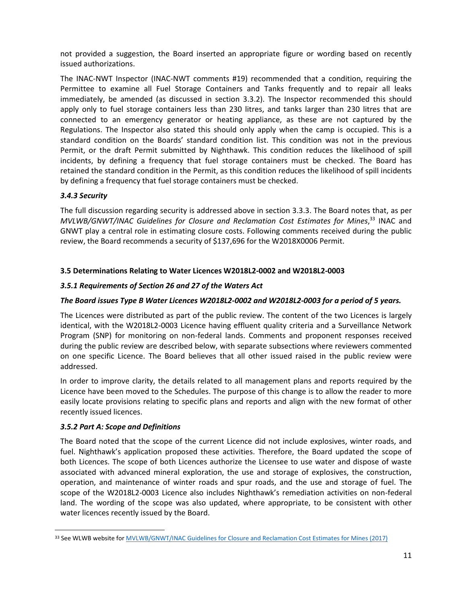not provided a suggestion, the Board inserted an appropriate figure or wording based on recently issued authorizations.

The INAC-NWT Inspector (INAC-NWT comments #19) recommended that a condition, requiring the Permittee to examine all Fuel Storage Containers and Tanks frequently and to repair all leaks immediately, be amended (as discussed in section 3.3.2). The Inspector recommended this should apply only to fuel storage containers less than 230 litres, and tanks larger than 230 litres that are connected to an emergency generator or heating appliance, as these are not captured by the Regulations. The Inspector also stated this should only apply when the camp is occupied. This is a standard condition on the Boards' standard condition list. This condition was not in the previous Permit, or the draft Permit submitted by Nighthawk. This condition reduces the likelihood of spill incidents, by defining a frequency that fuel storage containers must be checked. The Board has retained the standard condition in the Permit, as this condition reduces the likelihood of spill incidents by defining a frequency that fuel storage containers must be checked.

## *3.4.3 Security*

The full discussion regarding security is addressed above in section 3.3.3. The Board notes that, as per *MVLWB/GNWT/INAC Guidelines for Closure and Reclamation Cost Estimates for Mines*, <sup>33</sup> INAC and GNWT play a central role in estimating closure costs. Following comments received during the public review, the Board recommends a security of \$137,696 for the W2018X0006 Permit.

## <span id="page-10-0"></span>**3.5 Determinations Relating to Water Licences W2018L2-0002 and W2018L2-0003**

## *3.5.1 Requirements of Section 26 and 27 of the Waters Act*

## *The Board issues Type B Water Licences W2018L2-0002 and W2018L2-0003 for a period of 5 years.*

The Licences were distributed as part of the public review. The content of the two Licences is largely identical, with the W2018L2-0003 Licence having effluent quality criteria and a Surveillance Network Program (SNP) for monitoring on non-federal lands. Comments and proponent responses received during the public review are described below, with separate subsections where reviewers commented on one specific Licence. The Board believes that all other issued raised in the public review were addressed.

In order to improve clarity, the details related to all management plans and reports required by the Licence have been moved to the Schedules. The purpose of this change is to allow the reader to more easily locate provisions relating to specific plans and reports and align with the new format of other recently issued licences.

#### *3.5.2 Part A: Scope and Definitions*

 $\overline{\phantom{a}}$ 

The Board noted that the scope of the current Licence did not include explosives, winter roads, and fuel. Nighthawk's application proposed these activities. Therefore, the Board updated the scope of both Licences. The scope of both Licences authorize the Licensee to use water and dispose of waste associated with advanced mineral exploration, the use and storage of explosives, the construction, operation, and maintenance of winter roads and spur roads, and the use and storage of fuel. The scope of the W2018L2-0003 Licence also includes Nighthawk's remediation activities on non-federal land. The wording of the scope was also updated, where appropriate, to be consistent with other water licences recently issued by the Board.

<sup>33</sup> See WLWB website for MVLWB/GNWT/INAC [Guidelines for Closure and Reclamation Cost Estimates for Mines](https://wlwb.ca/sites/default/files/images/Closure%20Cost%20Estimating%20Guidelines_FINAL_Nov%2024%202017.pdf) (2017)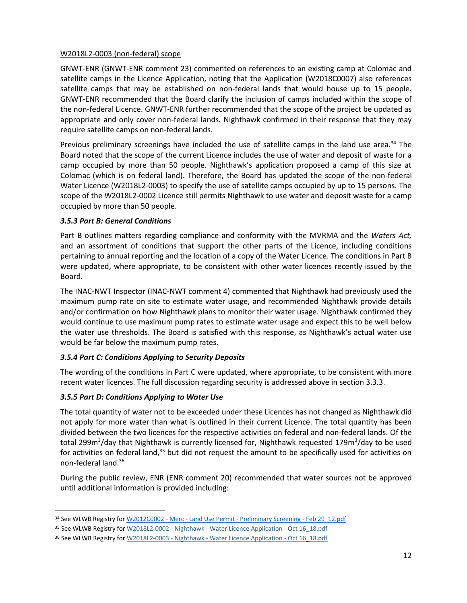#### W2018L2-0003 (non-federal) scope

GNWT-ENR (GNWT-ENR comment 23) commented on references to an existing camp at Colomac and satellite camps in the Licence Application, noting that the Application (W2018C0007) also references satellite camps that may be established on non-federal lands that would house up to 15 people. GNWT-ENR recommended that the Board clarify the inclusion of camps included within the scope of the non-federal Licence. GNWT-ENR further recommended that the scope of the project be updated as appropriate and only cover non-federal lands. Nighthawk confirmed in their response that they may require satellite camps on non-federal lands.

Previous preliminary screenings have included the use of satellite camps in the land use area.<sup>34</sup> The Board noted that the scope of the current Licence includes the use of water and deposit of waste for a camp occupied by more than 50 people. Nighthawk's application proposed a camp of this size at Colomac (which is on federal land). Therefore, the Board has updated the scope of the non-federal Water Licence (W2018L2-0003) to specify the use of satellite camps occupied by up to 15 persons. The scope of the W2018L2-0002 Licence still permits Nighthawk to use water and deposit waste for a camp occupied by more than 50 people.

## *3.5.3 Part B: General Conditions*

Part B outlines matters regarding compliance and conformity with the MVRMA and the *Waters Act,* and an assortment of conditions that support the other parts of the Licence, including conditions pertaining to annual reporting and the location of a copy of the Water Licence. The conditions in Part B were updated, where appropriate, to be consistent with other water licences recently issued by the Board.

The INAC-NWT Inspector (INAC-NWT comment 4) commented that Nighthawk had previously used the maximum pump rate on site to estimate water usage, and recommended Nighthawk provide details and/or confirmation on how Nighthawk plans to monitor their water usage. Nighthawk confirmed they would continue to use maximum pump rates to estimate water usage and expect this to be well below the water use thresholds. The Board is satisfied with this response, as Nighthawk's actual water use would be far below the maximum pump rates.

## *3.5.4 Part C: Conditions Applying to Security Deposits*

The wording of the conditions in Part C were updated, where appropriate, to be consistent with more recent water licences. The full discussion regarding security is addressed above in section 3.3.3.

## *3.5.5 Part D: Conditions Applying to Water Use*

 $\overline{a}$ 

The total quantity of water not to be exceeded under these Licences has not changed as Nighthawk did not apply for more water than what is outlined in their current Licence. The total quantity has been divided between the two licences for the respective activities on federal and non-federal lands. Of the total 299m<sup>3</sup>/day that Nighthawk is currently licensed for, Nighthawk requested 179m<sup>3</sup>/day to be used for activities on federal land,<sup>35</sup> but did not request the amount to be specifically used for activities on non-federal land.<sup>36</sup>

During the public review, ENR (ENR comment 20) recommended that water sources not be approved until additional information is provided including:

<sup>34</sup> See WLWB Registry for W2012C0002 - Merc - Land Use Permit - [Preliminary Screening -](http://registry.mvlwb.ca/Documents/W2012C0002/W2012C0002%20-%20Merc%20-%20Land%20Use%20Permit%20-%20Preliminary%20Screening%20-%20Feb%2029_12.pdf) Feb 29 12.pdf

<sup>&</sup>lt;sup>35</sup> See WLWB Registry for W2018L2-0002 - Nighthawk - [Water Licence Application -](http://registry.mvlwb.ca/Documents/W2018L2-0002/W2018L2-0002%20-%20Nighthawk%20-%20Water%20Licence%20Application%20-%20Oct%2016_18.pdf) Oct 16\_18.pdf

<sup>&</sup>lt;sup>36</sup> See WLWB Registry for W2018L2-0003 - Nighthawk - [Water Licence Application -](http://registry.mvlwb.ca/Documents/W2018L2-0003/W2018L2-0003%20-%20Nighthawk%20-%20Water%20Licence%20Application%20-%20Oct%2016_18.pdf) Oct 16 18.pdf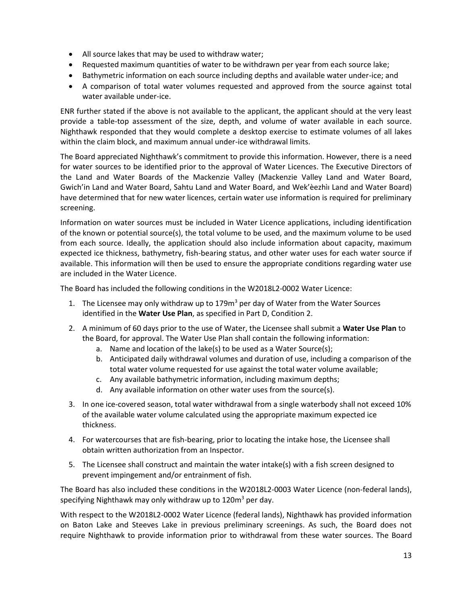- All source lakes that may be used to withdraw water;
- Requested maximum quantities of water to be withdrawn per year from each source lake;
- Bathymetric information on each source including depths and available water under-ice; and
- A comparison of total water volumes requested and approved from the source against total water available under-ice.

ENR further stated if the above is not available to the applicant, the applicant should at the very least provide a table-top assessment of the size, depth, and volume of water available in each source. Nighthawk responded that they would complete a desktop exercise to estimate volumes of all lakes within the claim block, and maximum annual under-ice withdrawal limits.

The Board appreciated Nighthawk's commitment to provide this information. However, there is a need for water sources to be identified prior to the approval of Water Licences. The Executive Directors of the Land and Water Boards of the Mackenzie Valley (Mackenzie Valley Land and Water Board, Gwich'in Land and Water Board, Sahtu Land and Water Board, and Wek'èezhìı Land and Water Board) have determined that for new water licences, certain water use information is required for preliminary screening.

Information on water sources must be included in Water Licence applications, including identification of the known or potential source(s), the total volume to be used, and the maximum volume to be used from each source. Ideally, the application should also include information about capacity, maximum expected ice thickness, bathymetry, fish-bearing status, and other water uses for each water source if available. This information will then be used to ensure the appropriate conditions regarding water use are included in the Water Licence.

The Board has included the following conditions in the W2018L2-0002 Water Licence:

- 1. The Licensee may only withdraw up to 179 $m<sup>3</sup>$  per day of Water from the Water Sources identified in the **Water Use Plan**, as specified in Part D, Condition 2.
- 2. A minimum of 60 days prior to the use of Water, the Licensee shall submit a **Water Use Plan** to the Board, for approval. The Water Use Plan shall contain the following information:
	- a. Name and location of the lake(s) to be used as a Water Source(s);
	- b. Anticipated daily withdrawal volumes and duration of use, including a comparison of the total water volume requested for use against the total water volume available;
	- c. Any available bathymetric information, including maximum depths;
	- d. Any available information on other water uses from the source(s).
- 3. In one ice-covered season, total water withdrawal from a single waterbody shall not exceed 10% of the available water volume calculated using the appropriate maximum expected ice thickness.
- 4. For watercourses that are fish-bearing, prior to locating the intake hose, the Licensee shall obtain written authorization from an Inspector.
- 5. The Licensee shall construct and maintain the water intake(s) with a fish screen designed to prevent impingement and/or entrainment of fish.

The Board has also included these conditions in the W2018L2-0003 Water Licence (non-federal lands), specifying Nighthawk may only withdraw up to  $120m^3$  per day.

With respect to the W2018L2-0002 Water Licence (federal lands), Nighthawk has provided information on Baton Lake and Steeves Lake in previous preliminary screenings. As such, the Board does not require Nighthawk to provide information prior to withdrawal from these water sources. The Board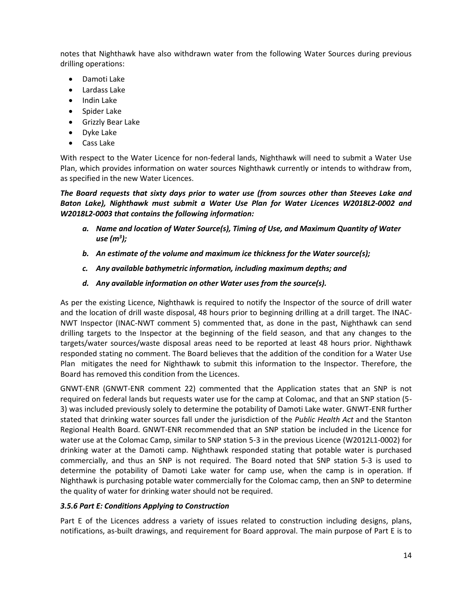notes that Nighthawk have also withdrawn water from the following Water Sources during previous drilling operations:

- Damoti Lake
- Lardass Lake
- Indin Lake
- Spider Lake
- **•** Grizzly Bear Lake
- Dyke Lake
- Cass Lake

With respect to the Water Licence for non-federal lands, Nighthawk will need to submit a Water Use Plan, which provides information on water sources Nighthawk currently or intends to withdraw from, as specified in the new Water Licences.

*The Board requests that sixty days prior to water use (from sources other than Steeves Lake and Baton Lake), Nighthawk must submit a Water Use Plan for Water Licences W2018L2-0002 and W2018L2-0003 that contains the following information:*

- *a. Name and location of Water Source(s), Timing of Use, and Maximum Quantity of Water use (m<sup>3</sup> );*
- *b. An estimate of the volume and maximum ice thickness for the Water source(s);*
- *c. Any available bathymetric information, including maximum depths; and*
- *d. Any available information on other Water uses from the source(s).*

As per the existing Licence, Nighthawk is required to notify the Inspector of the source of drill water and the location of drill waste disposal, 48 hours prior to beginning drilling at a drill target. The INAC-NWT Inspector (INAC-NWT comment 5) commented that, as done in the past, Nighthawk can send drilling targets to the Inspector at the beginning of the field season, and that any changes to the targets/water sources/waste disposal areas need to be reported at least 48 hours prior. Nighthawk responded stating no comment. The Board believes that the addition of the condition for a Water Use Plan mitigates the need for Nighthawk to submit this information to the Inspector. Therefore, the Board has removed this condition from the Licences.

GNWT-ENR (GNWT-ENR comment 22) commented that the Application states that an SNP is not required on federal lands but requests water use for the camp at Colomac, and that an SNP station (5- 3) was included previously solely to determine the potability of Damoti Lake water. GNWT-ENR further stated that drinking water sources fall under the jurisdiction of the *Public Health Act* and the Stanton Regional Health Board. GNWT-ENR recommended that an SNP station be included in the Licence for water use at the Colomac Camp, similar to SNP station 5-3 in the previous Licence (W2012L1-0002) for drinking water at the Damoti camp. Nighthawk responded stating that potable water is purchased commercially, and thus an SNP is not required. The Board noted that SNP station 5-3 is used to determine the potability of Damoti Lake water for camp use, when the camp is in operation. If Nighthawk is purchasing potable water commercially for the Colomac camp, then an SNP to determine the quality of water for drinking water should not be required.

#### *3.5.6 Part E: Conditions Applying to Construction*

Part E of the Licences address a variety of issues related to construction including designs, plans, notifications, as-built drawings, and requirement for Board approval. The main purpose of Part E is to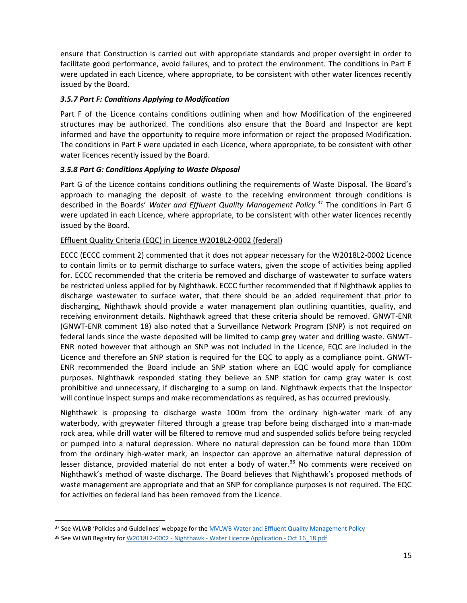ensure that Construction is carried out with appropriate standards and proper oversight in order to facilitate good performance, avoid failures, and to protect the environment. The conditions in Part E were updated in each Licence, where appropriate, to be consistent with other water licences recently issued by the Board.

#### *3.5.7 Part F: Conditions Applying to Modification*

Part F of the Licence contains conditions outlining when and how Modification of the engineered structures may be authorized. The conditions also ensure that the Board and Inspector are kept informed and have the opportunity to require more information or reject the proposed Modification. The conditions in Part F were updated in each Licence, where appropriate, to be consistent with other water licences recently issued by the Board.

## *3.5.8 Part G: Conditions Applying to Waste Disposal*

Part G of the Licence contains conditions outlining the requirements of Waste Disposal. The Board's approach to managing the deposit of waste to the receiving environment through conditions is described in the Boards' *Water and Effluent Quality Management Policy.*<sup>37</sup> The conditions in Part G were updated in each Licence, where appropriate, to be consistent with other water licences recently issued by the Board.

## Effluent Quality Criteria (EQC) in Licence W2018L2-0002 (federal)

ECCC (ECCC comment 2) commented that it does not appear necessary for the W2018L2-0002 Licence to contain limits or to permit discharge to surface waters, given the scope of activities being applied for. ECCC recommended that the criteria be removed and discharge of wastewater to surface waters be restricted unless applied for by Nighthawk. ECCC further recommended that if Nighthawk applies to discharge wastewater to surface water, that there should be an added requirement that prior to discharging, Nighthawk should provide a water management plan outlining quantities, quality, and receiving environment details. Nighthawk agreed that these criteria should be removed. GNWT-ENR (GNWT-ENR comment 18) also noted that a Surveillance Network Program (SNP) is not required on federal lands since the waste deposited will be limited to camp grey water and drilling waste. GNWT-ENR noted however that although an SNP was not included in the Licence, EQC are included in the Licence and therefore an SNP station is required for the EQC to apply as a compliance point. GNWT-ENR recommended the Board include an SNP station where an EQC would apply for compliance purposes. Nighthawk responded stating they believe an SNP station for camp gray water is cost prohibitive and unnecessary, if discharging to a sump on land. Nighthawk expects that the Inspector will continue inspect sumps and make recommendations as required, as has occurred previously.

Nighthawk is proposing to discharge waste 100m from the ordinary high-water mark of any waterbody, with greywater filtered through a grease trap before being discharged into a man-made rock area, while drill water will be filtered to remove mud and suspended solids before being recycled or pumped into a natural depression. Where no natural depression can be found more than 100m from the ordinary high-water mark, an Inspector can approve an alternative natural depression of lesser distance, provided material do not enter a body of water.<sup>38</sup> No comments were received on Nighthawk's method of waste discharge. The Board believes that Nighthawk's proposed methods of waste management are appropriate and that an SNP for compliance purposes is not required. The EQC for activities on federal land has been removed from the Licence.

 $\overline{a}$ 

<sup>&</sup>lt;sup>37</sup> See WLWB 'Policies and Guidelines' webpage for the [MVLWB Water and Effluent Quality Management Policy](https://mvlwb.com/sites/default/files/documents/MVLWB-Water-and-Effluent-Quality-Management-Policy-Mar-31_11-JCWG.pdf)

<sup>38</sup> See WLWB Registry for W2018L2-0002 - Nighthawk - [Water Licence Application -](http://registry.mvlwb.ca/Documents/W2018L2-0002/W2018L2-0002%20-%20Nighthawk%20-%20Water%20Licence%20Application%20-%20Oct%2016_18.pdf) Oct 16 18.pdf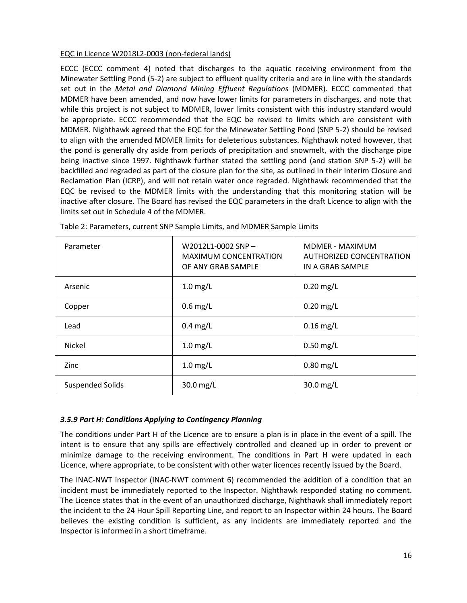#### EQC in Licence W2018L2-0003 (non-federal lands)

ECCC (ECCC comment 4) noted that discharges to the aquatic receiving environment from the Minewater Settling Pond (5-2) are subject to effluent quality criteria and are in line with the standards set out in the *Metal and Diamond Mining Effluent Regulations* (MDMER). ECCC commented that MDMER have been amended, and now have lower limits for parameters in discharges, and note that while this project is not subject to MDMER, lower limits consistent with this industry standard would be appropriate. ECCC recommended that the EQC be revised to limits which are consistent with MDMER. Nighthawk agreed that the EQC for the Minewater Settling Pond (SNP 5-2) should be revised to align with the amended MDMER limits for deleterious substances. Nighthawk noted however, that the pond is generally dry aside from periods of precipitation and snowmelt, with the discharge pipe being inactive since 1997. Nighthawk further stated the settling pond (and station SNP 5-2) will be backfilled and regraded as part of the closure plan for the site, as outlined in their Interim Closure and Reclamation Plan (ICRP), and will not retain water once regraded. Nighthawk recommended that the EQC be revised to the MDMER limits with the understanding that this monitoring station will be inactive after closure. The Board has revised the EQC parameters in the draft Licence to align with the limits set out in Schedule 4 of the MDMER.

| Parameter               | W2012L1-0002 SNP-<br><b>MAXIMUM CONCENTRATION</b><br>OF ANY GRAB SAMPLE | MDMER - MAXIMUM<br>AUTHORIZED CONCENTRATION<br>IN A GRAB SAMPLE |
|-------------------------|-------------------------------------------------------------------------|-----------------------------------------------------------------|
| Arsenic                 | $1.0$ mg/L                                                              | $0.20$ mg/L                                                     |
| Copper                  | $0.6$ mg/L                                                              | $0.20$ mg/L                                                     |
| Lead                    | $0.4$ mg/L                                                              | $0.16$ mg/L                                                     |
| Nickel                  | $1.0$ mg/L                                                              | $0.50$ mg/L                                                     |
| Zinc                    | $1.0$ mg/L                                                              | $0.80$ mg/L                                                     |
| <b>Suspended Solids</b> | 30.0 mg/L                                                               | 30.0 mg/L                                                       |

Table 2: Parameters, current SNP Sample Limits, and MDMER Sample Limits

## *3.5.9 Part H: Conditions Applying to Contingency Planning*

The conditions under Part H of the Licence are to ensure a plan is in place in the event of a spill. The intent is to ensure that any spills are effectively controlled and cleaned up in order to prevent or minimize damage to the receiving environment. The conditions in Part H were updated in each Licence, where appropriate, to be consistent with other water licences recently issued by the Board.

The INAC-NWT inspector (INAC-NWT comment 6) recommended the addition of a condition that an incident must be immediately reported to the Inspector. Nighthawk responded stating no comment. The Licence states that in the event of an unauthorized discharge, Nighthawk shall immediately report the incident to the 24 Hour Spill Reporting Line, and report to an Inspector within 24 hours. The Board believes the existing condition is sufficient, as any incidents are immediately reported and the Inspector is informed in a short timeframe.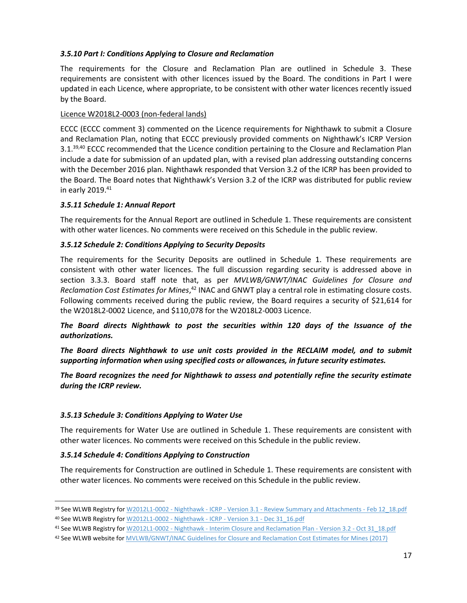#### *3.5.10 Part I: Conditions Applying to Closure and Reclamation*

The requirements for the Closure and Reclamation Plan are outlined in Schedule 3. These requirements are consistent with other licences issued by the Board. The conditions in Part I were updated in each Licence, where appropriate, to be consistent with other water licences recently issued by the Board.

#### Licence W2018L2-0003 (non-federal lands)

ECCC (ECCC comment 3) commented on the Licence requirements for Nighthawk to submit a Closure and Reclamation Plan, noting that ECCC previously provided comments on Nighthawk's ICRP Version 3.1.<sup>39,40</sup> ECCC recommended that the Licence condition pertaining to the Closure and Reclamation Plan include a date for submission of an updated plan, with a revised plan addressing outstanding concerns with the December 2016 plan. Nighthawk responded that Version 3.2 of the ICRP has been provided to the Board. The Board notes that Nighthawk's Version 3.2 of the ICRP was distributed for public review in early 2019. 41

#### *3.5.11 Schedule 1: Annual Report*

The requirements for the Annual Report are outlined in Schedule 1. These requirements are consistent with other water licences. No comments were received on this Schedule in the public review.

## *3.5.12 Schedule 2: Conditions Applying to Security Deposits*

The requirements for the Security Deposits are outlined in Schedule 1. These requirements are consistent with other water licences. The full discussion regarding security is addressed above in section 3.3.3. Board staff note that, as per *MVLWB/GNWT/INAC Guidelines for Closure and*  Reclamation Cost Estimates for Mines,<sup>42</sup> INAC and GNWT play a central role in estimating closure costs. Following comments received during the public review, the Board requires a security of \$21,614 for the W2018L2-0002 Licence, and \$110,078 for the W2018L2-0003 Licence.

*The Board directs Nighthawk to post the securities within 120 days of the Issuance of the authorizations.*

*The Board directs Nighthawk to use unit costs provided in the RECLAIM model, and to submit supporting information when using specified costs or allowances, in future security estimates.* 

*The Board recognizes the need for Nighthawk to assess and potentially refine the security estimate during the ICRP review.* 

#### *3.5.13 Schedule 3: Conditions Applying to Water Use*

The requirements for Water Use are outlined in Schedule 1. These requirements are consistent with other water licences. No comments were received on this Schedule in the public review.

#### *3.5.14 Schedule 4: Conditions Applying to Construction*

 $\overline{\phantom{a}}$ 

The requirements for Construction are outlined in Schedule 1. These requirements are consistent with other water licences. No comments were received on this Schedule in the public review.

<sup>39</sup> See WLWB Registry for W2012L1-0002 - Nighthawk - ICRP - Version 3.1 - [Review Summary and Attachments -](http://registry.mvlwb.ca/Documents/W2012L1-0002/W2012L1-0002%20-%20Nighthawk%20-%20ICRP%20-%20Version%203.1%20-%20Review%20Summary%20and%20Attachments%20-%20Feb%2012_18.pdf) Feb 12 18.pdf 40 See WLWB Registry for [W2012L1-0002 -](http://registry.mvlwb.ca/Documents/W2012L1-0002/W2012L1-0002%20-%20Nighthawk%20-%20ICRP%20-%20Version%203.1%20-%20Dec%2031_16.pdf) Nighthawk - ICRP - Version 3.1 - Dec 31\_16.pdf

<sup>41</sup> See WLWB Registry for W2012L1-0002 - Nighthawk - [Interim Closure and Reclamation Plan -](http://registry.mvlwb.ca/Documents/W2012L1-0002/W2012L1-0002%20-%20Nighthawk%20-%20Interim%20Closure%20and%20Reclamation%20Plan%20-%20Version%203.2%20-%20Oct%2031_18.pdf) Version 3.2 - Oct 31\_18.pdf

<sup>42</sup> See WLWB website for MVLWB/GNWT/INAC [Guidelines for Closure and Reclamation Cost Estimates for Mines](https://wlwb.ca/sites/default/files/images/Closure%20Cost%20Estimating%20Guidelines_FINAL_Nov%2024%202017.pdf) (2017)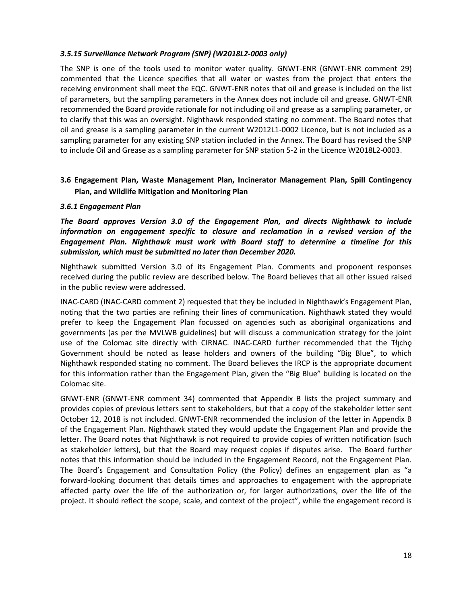#### *3.5.15 Surveillance Network Program (SNP) (W2018L2-0003 only)*

The SNP is one of the tools used to monitor water quality. GNWT-ENR (GNWT-ENR comment 29) commented that the Licence specifies that all water or wastes from the project that enters the receiving environment shall meet the EQC. GNWT-ENR notes that oil and grease is included on the list of parameters, but the sampling parameters in the Annex does not include oil and grease. GNWT-ENR recommended the Board provide rationale for not including oil and grease as a sampling parameter, or to clarify that this was an oversight. Nighthawk responded stating no comment. The Board notes that oil and grease is a sampling parameter in the current W2012L1-0002 Licence, but is not included as a sampling parameter for any existing SNP station included in the Annex. The Board has revised the SNP to include Oil and Grease as a sampling parameter for SNP station 5-2 in the Licence W2018L2-0003.

## <span id="page-17-0"></span>**3.6 Engagement Plan, Waste Management Plan, Incinerator Management Plan, Spill Contingency Plan, and Wildlife Mitigation and Monitoring Plan**

#### *3.6.1 Engagement Plan*

*The Board approves Version 3.0 of the Engagement Plan, and directs Nighthawk to include information on engagement specific to closure and reclamation in a revised version of the Engagement Plan. Nighthawk must work with Board staff to determine a timeline for this submission, which must be submitted no later than December 2020.*

Nighthawk submitted Version 3.0 of its Engagement Plan. Comments and proponent responses received during the public review are described below. The Board believes that all other issued raised in the public review were addressed.

INAC-CARD (INAC-CARD comment 2) requested that they be included in Nighthawk's Engagement Plan, noting that the two parties are refining their lines of communication. Nighthawk stated they would prefer to keep the Engagement Plan focussed on agencies such as aboriginal organizations and governments (as per the MVLWB guidelines) but will discuss a communication strategy for the joint use of the Colomac site directly with CIRNAC. INAC-CARD further recommended that the Tłįcho Government should be noted as lease holders and owners of the building "Big Blue", to which Nighthawk responded stating no comment. The Board believes the IRCP is the appropriate document for this information rather than the Engagement Plan, given the "Big Blue" building is located on the Colomac site.

GNWT-ENR (GNWT-ENR comment 34) commented that Appendix B lists the project summary and provides copies of previous letters sent to stakeholders, but that a copy of the stakeholder letter sent October 12, 2018 is not included. GNWT-ENR recommended the inclusion of the letter in Appendix B of the Engagement Plan. Nighthawk stated they would update the Engagement Plan and provide the letter. The Board notes that Nighthawk is not required to provide copies of written notification (such as stakeholder letters), but that the Board may request copies if disputes arise. The Board further notes that this information should be included in the Engagement Record, not the Engagement Plan. The Board's Engagement and Consultation Policy (the Policy) defines an engagement plan as "a forward-looking document that details times and approaches to engagement with the appropriate affected party over the life of the authorization or, for larger authorizations, over the life of the project. It should reflect the scope, scale, and context of the project", while the engagement record is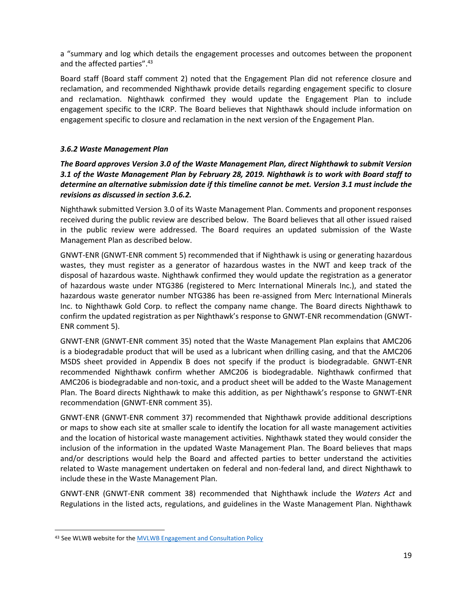a "summary and log which details the engagement processes and outcomes between the proponent and the affected parties".<sup>43</sup>

Board staff (Board staff comment 2) noted that the Engagement Plan did not reference closure and reclamation, and recommended Nighthawk provide details regarding engagement specific to closure and reclamation. Nighthawk confirmed they would update the Engagement Plan to include engagement specific to the ICRP. The Board believes that Nighthawk should include information on engagement specific to closure and reclamation in the next version of the Engagement Plan.

## *3.6.2 Waste Management Plan*

*The Board approves Version 3.0 of the Waste Management Plan, direct Nighthawk to submit Version 3.1 of the Waste Management Plan by February 28, 2019. Nighthawk is to work with Board staff to determine an alternative submission date if this timeline cannot be met. Version 3.1 must include the revisions as discussed in section 3.6.2.*

Nighthawk submitted Version 3.0 of its Waste Management Plan. Comments and proponent responses received during the public review are described below. The Board believes that all other issued raised in the public review were addressed. The Board requires an updated submission of the Waste Management Plan as described below.

GNWT-ENR (GNWT-ENR comment 5) recommended that if Nighthawk is using or generating hazardous wastes, they must register as a generator of hazardous wastes in the NWT and keep track of the disposal of hazardous waste. Nighthawk confirmed they would update the registration as a generator of hazardous waste under NTG386 (registered to Merc International Minerals Inc.), and stated the hazardous waste generator number NTG386 has been re-assigned from Merc International Minerals Inc. to Nighthawk Gold Corp. to reflect the company name change. The Board directs Nighthawk to confirm the updated registration as per Nighthawk's response to GNWT-ENR recommendation (GNWT-ENR comment 5).

GNWT-ENR (GNWT-ENR comment 35) noted that the Waste Management Plan explains that AMC206 is a biodegradable product that will be used as a lubricant when drilling casing, and that the AMC206 MSDS sheet provided in Appendix B does not specify if the product is biodegradable. GNWT-ENR recommended Nighthawk confirm whether AMC206 is biodegradable. Nighthawk confirmed that AMC206 is biodegradable and non-toxic, and a product sheet will be added to the Waste Management Plan. The Board directs Nighthawk to make this addition, as per Nighthawk's response to GNWT-ENR recommendation (GNWT-ENR comment 35).

GNWT-ENR (GNWT-ENR comment 37) recommended that Nighthawk provide additional descriptions or maps to show each site at smaller scale to identify the location for all waste management activities and the location of historical waste management activities. Nighthawk stated they would consider the inclusion of the information in the updated Waste Management Plan. The Board believes that maps and/or descriptions would help the Board and affected parties to better understand the activities related to Waste management undertaken on federal and non-federal land, and direct Nighthawk to include these in the Waste Management Plan.

GNWT-ENR (GNWT-ENR comment 38) recommended that Nighthawk include the *Waters Act* and Regulations in the listed acts, regulations, and guidelines in the Waste Management Plan. Nighthawk

 $\overline{\phantom{a}}$ 

<sup>43</sup> See WLWB website for the [MVLWB Engagement and Consultation Policy](https://mvlwb.com/sites/default/files/documents/wg/MVLWB%20Engagement%20and%20Consultation%20Policy%20-%20May%2015.pdf)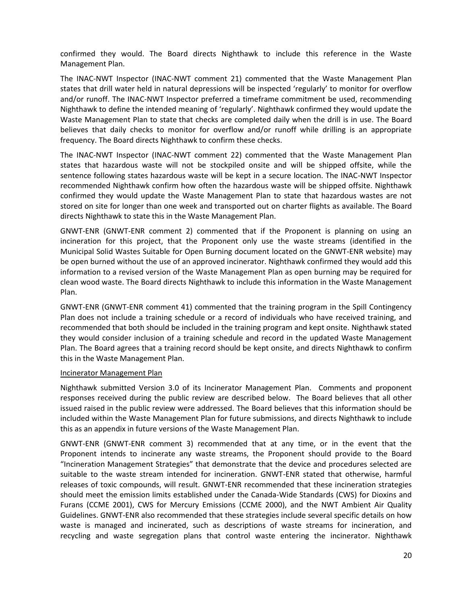confirmed they would. The Board directs Nighthawk to include this reference in the Waste Management Plan.

The INAC-NWT Inspector (INAC-NWT comment 21) commented that the Waste Management Plan states that drill water held in natural depressions will be inspected 'regularly' to monitor for overflow and/or runoff. The INAC-NWT Inspector preferred a timeframe commitment be used, recommending Nighthawk to define the intended meaning of 'regularly'. Nighthawk confirmed they would update the Waste Management Plan to state that checks are completed daily when the drill is in use. The Board believes that daily checks to monitor for overflow and/or runoff while drilling is an appropriate frequency. The Board directs Nighthawk to confirm these checks.

The INAC-NWT Inspector (INAC-NWT comment 22) commented that the Waste Management Plan states that hazardous waste will not be stockpiled onsite and will be shipped offsite, while the sentence following states hazardous waste will be kept in a secure location. The INAC-NWT Inspector recommended Nighthawk confirm how often the hazardous waste will be shipped offsite. Nighthawk confirmed they would update the Waste Management Plan to state that hazardous wastes are not stored on site for longer than one week and transported out on charter flights as available. The Board directs Nighthawk to state this in the Waste Management Plan.

GNWT-ENR (GNWT-ENR comment 2) commented that if the Proponent is planning on using an incineration for this project, that the Proponent only use the waste streams (identified in the Municipal Solid Wastes Suitable for Open Burning document located on the GNWT-ENR website) may be open burned without the use of an approved incinerator. Nighthawk confirmed they would add this information to a revised version of the Waste Management Plan as open burning may be required for clean wood waste. The Board directs Nighthawk to include this information in the Waste Management Plan.

GNWT-ENR (GNWT-ENR comment 41) commented that the training program in the Spill Contingency Plan does not include a training schedule or a record of individuals who have received training, and recommended that both should be included in the training program and kept onsite. Nighthawk stated they would consider inclusion of a training schedule and record in the updated Waste Management Plan. The Board agrees that a training record should be kept onsite, and directs Nighthawk to confirm this in the Waste Management Plan.

#### Incinerator Management Plan

Nighthawk submitted Version 3.0 of its Incinerator Management Plan. Comments and proponent responses received during the public review are described below. The Board believes that all other issued raised in the public review were addressed. The Board believes that this information should be included within the Waste Management Plan for future submissions, and directs Nighthawk to include this as an appendix in future versions of the Waste Management Plan.

GNWT-ENR (GNWT-ENR comment 3) recommended that at any time, or in the event that the Proponent intends to incinerate any waste streams, the Proponent should provide to the Board "Incineration Management Strategies" that demonstrate that the device and procedures selected are suitable to the waste stream intended for incineration. GNWT-ENR stated that otherwise, harmful releases of toxic compounds, will result. GNWT-ENR recommended that these incineration strategies should meet the emission limits established under the Canada-Wide Standards (CWS) for Dioxins and Furans (CCME 2001), CWS for Mercury Emissions (CCME 2000), and the NWT Ambient Air Quality Guidelines. GNWT-ENR also recommended that these strategies include several specific details on how waste is managed and incinerated, such as descriptions of waste streams for incineration, and recycling and waste segregation plans that control waste entering the incinerator. Nighthawk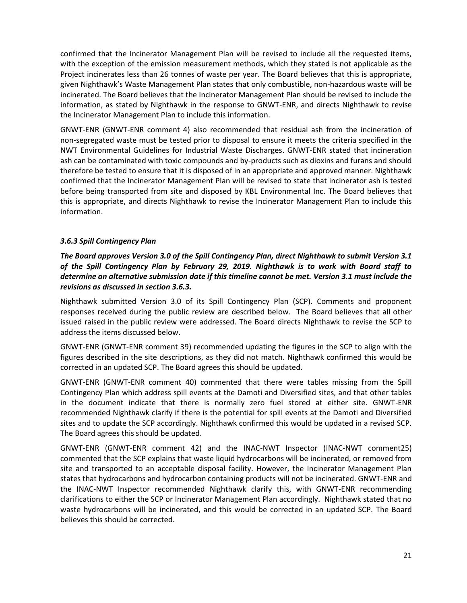confirmed that the Incinerator Management Plan will be revised to include all the requested items, with the exception of the emission measurement methods, which they stated is not applicable as the Project incinerates less than 26 tonnes of waste per year. The Board believes that this is appropriate, given Nighthawk's Waste Management Plan states that only combustible, non-hazardous waste will be incinerated. The Board believes that the Incinerator Management Plan should be revised to include the information, as stated by Nighthawk in the response to GNWT-ENR, and directs Nighthawk to revise the Incinerator Management Plan to include this information.

GNWT-ENR (GNWT-ENR comment 4) also recommended that residual ash from the incineration of non-segregated waste must be tested prior to disposal to ensure it meets the criteria specified in the NWT Environmental Guidelines for Industrial Waste Discharges. GNWT-ENR stated that incineration ash can be contaminated with toxic compounds and by-products such as dioxins and furans and should therefore be tested to ensure that it is disposed of in an appropriate and approved manner. Nighthawk confirmed that the Incinerator Management Plan will be revised to state that incinerator ash is tested before being transported from site and disposed by KBL Environmental Inc. The Board believes that this is appropriate, and directs Nighthawk to revise the Incinerator Management Plan to include this information.

## *3.6.3 Spill Contingency Plan*

*The Board approves Version 3.0 of the Spill Contingency Plan, direct Nighthawk to submit Version 3.1 of the Spill Contingency Plan by February 29, 2019. Nighthawk is to work with Board staff to determine an alternative submission date if this timeline cannot be met. Version 3.1 must include the revisions as discussed in section 3.6.3.*

Nighthawk submitted Version 3.0 of its Spill Contingency Plan (SCP). Comments and proponent responses received during the public review are described below. The Board believes that all other issued raised in the public review were addressed. The Board directs Nighthawk to revise the SCP to address the items discussed below.

GNWT-ENR (GNWT-ENR comment 39) recommended updating the figures in the SCP to align with the figures described in the site descriptions, as they did not match. Nighthawk confirmed this would be corrected in an updated SCP. The Board agrees this should be updated.

GNWT-ENR (GNWT-ENR comment 40) commented that there were tables missing from the Spill Contingency Plan which address spill events at the Damoti and Diversified sites, and that other tables in the document indicate that there is normally zero fuel stored at either site. GNWT-ENR recommended Nighthawk clarify if there is the potential for spill events at the Damoti and Diversified sites and to update the SCP accordingly. Nighthawk confirmed this would be updated in a revised SCP. The Board agrees this should be updated.

GNWT-ENR (GNWT-ENR comment 42) and the INAC-NWT Inspector (INAC-NWT comment25) commented that the SCP explains that waste liquid hydrocarbons will be incinerated, or removed from site and transported to an acceptable disposal facility. However, the Incinerator Management Plan states that hydrocarbons and hydrocarbon containing products will not be incinerated. GNWT-ENR and the INAC-NWT Inspector recommended Nighthawk clarify this, with GNWT-ENR recommending clarifications to either the SCP or Incinerator Management Plan accordingly. Nighthawk stated that no waste hydrocarbons will be incinerated, and this would be corrected in an updated SCP. The Board believes this should be corrected.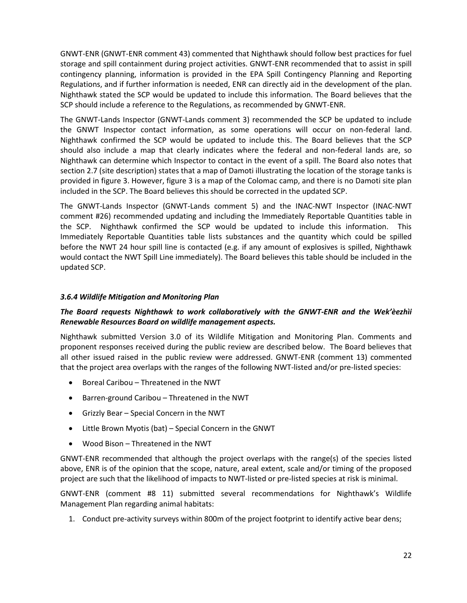GNWT-ENR (GNWT-ENR comment 43) commented that Nighthawk should follow best practices for fuel storage and spill containment during project activities. GNWT-ENR recommended that to assist in spill contingency planning, information is provided in the EPA Spill Contingency Planning and Reporting Regulations, and if further information is needed, ENR can directly aid in the development of the plan. Nighthawk stated the SCP would be updated to include this information. The Board believes that the SCP should include a reference to the Regulations, as recommended by GNWT-ENR.

The GNWT-Lands Inspector (GNWT-Lands comment 3) recommended the SCP be updated to include the GNWT Inspector contact information, as some operations will occur on non-federal land. Nighthawk confirmed the SCP would be updated to include this. The Board believes that the SCP should also include a map that clearly indicates where the federal and non-federal lands are, so Nighthawk can determine which Inspector to contact in the event of a spill. The Board also notes that section 2.7 (site description) states that a map of Damoti illustrating the location of the storage tanks is provided in figure 3. However, figure 3 is a map of the Colomac camp, and there is no Damoti site plan included in the SCP. The Board believes this should be corrected in the updated SCP.

The GNWT-Lands Inspector (GNWT-Lands comment 5) and the INAC-NWT Inspector (INAC-NWT comment #26) recommended updating and including the Immediately Reportable Quantities table in the SCP. Nighthawk confirmed the SCP would be updated to include this information. This Immediately Reportable Quantities table lists substances and the quantity which could be spilled before the NWT 24 hour spill line is contacted (e.g. if any amount of explosives is spilled, Nighthawk would contact the NWT Spill Line immediately). The Board believes this table should be included in the updated SCP.

#### *3.6.4 Wildlife Mitigation and Monitoring Plan*

## *The Board requests Nighthawk to work collaboratively with the GNWT-ENR and the Wek'èezhìi Renewable Resources Board on wildlife management aspects.*

Nighthawk submitted Version 3.0 of its Wildlife Mitigation and Monitoring Plan. Comments and proponent responses received during the public review are described below. The Board believes that all other issued raised in the public review were addressed. GNWT-ENR (comment 13) commented that the project area overlaps with the ranges of the following NWT-listed and/or pre-listed species:

- Boreal Caribou Threatened in the NWT
- Barren-ground Caribou Threatened in the NWT
- Grizzly Bear Special Concern in the NWT
- Little Brown Myotis (bat) Special Concern in the GNWT
- Wood Bison Threatened in the NWT

GNWT-ENR recommended that although the project overlaps with the range(s) of the species listed above, ENR is of the opinion that the scope, nature, areal extent, scale and/or timing of the proposed project are such that the likelihood of impacts to NWT-listed or pre-listed species at risk is minimal.

GNWT-ENR (comment #8 11) submitted several recommendations for Nighthawk's Wildlife Management Plan regarding animal habitats:

1. Conduct pre-activity surveys within 800m of the project footprint to identify active bear dens;